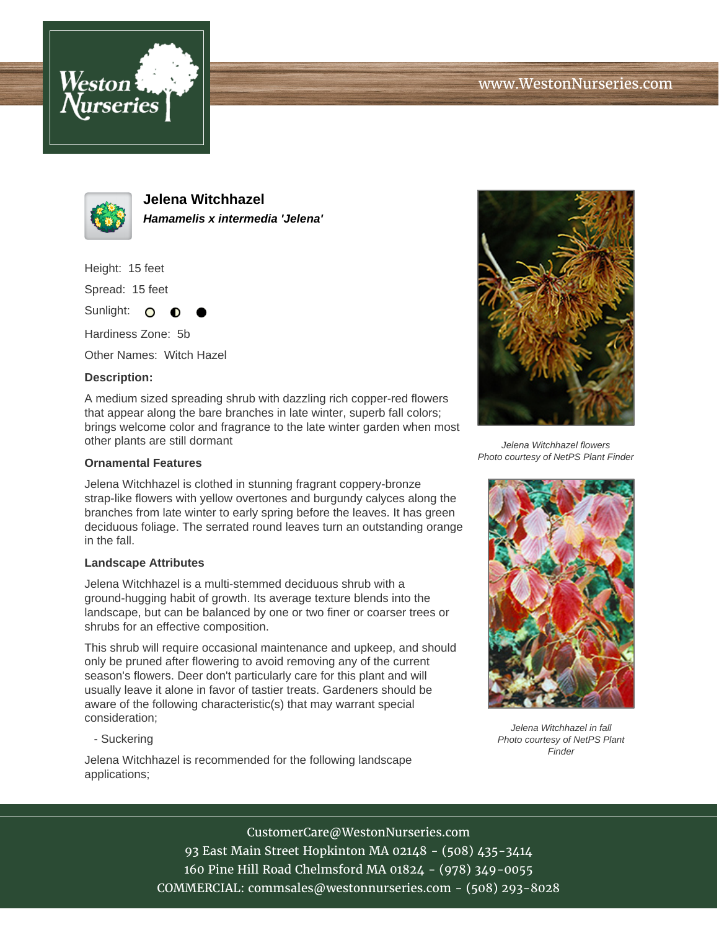



**Jelena Witchhazel Hamamelis x intermedia 'Jelena'**

Height: 15 feet

Spread: 15 feet

Sunlight: O ∩

Hardiness Zone: 5b

Other Names: Witch Hazel

## **Description:**

A medium sized spreading shrub with dazzling rich copper-red flowers that appear along the bare branches in late winter, superb fall colors; brings welcome color and fragrance to the late winter garden when most other plants are still dormant

## **Ornamental Features**

Jelena Witchhazel is clothed in stunning fragrant coppery-bronze strap-like flowers with yellow overtones and burgundy calyces along the branches from late winter to early spring before the leaves. It has green deciduous foliage. The serrated round leaves turn an outstanding orange in the fall.

#### **Landscape Attributes**

Jelena Witchhazel is a multi-stemmed deciduous shrub with a ground-hugging habit of growth. Its average texture blends into the landscape, but can be balanced by one or two finer or coarser trees or shrubs for an effective composition.

This shrub will require occasional maintenance and upkeep, and should only be pruned after flowering to avoid removing any of the current season's flowers. Deer don't particularly care for this plant and will usually leave it alone in favor of tastier treats. Gardeners should be aware of the following characteristic(s) that may warrant special consideration;

- Suckering

Jelena Witchhazel is recommended for the following landscape applications;



Jelena Witchhazel flowers Photo courtesy of NetPS Plant Finder



Jelena Witchhazel in fall Photo courtesy of NetPS Plant Finder

## CustomerCare@WestonNurseries.com

93 East Main Street Hopkinton MA 02148 - (508) 435-3414 160 Pine Hill Road Chelmsford MA 01824 - (978) 349-0055 COMMERCIAL: commsales@westonnurseries.com - (508) 293-8028